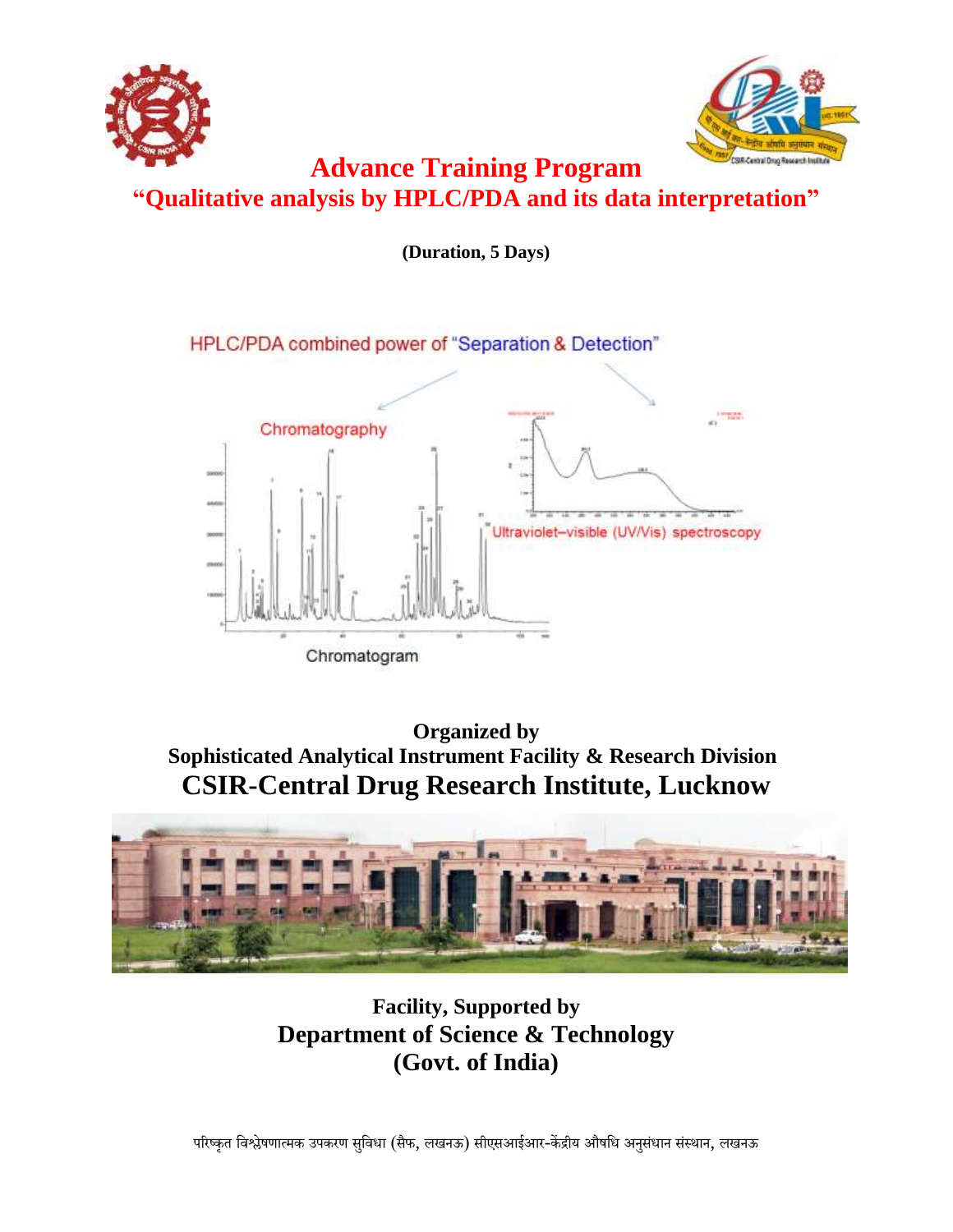



# **Advance Training Program "Qualitative analysis by HPLC/PDA and its data interpretation"**

**(Duration, 5 Days)**



**Organized by Sophisticated Analytical Instrument Facility & Research Division CSIR-Central Drug Research Institute, Lucknow**



**Facility, Supported by Department of Science & Technology (Govt. of India)**

परिष्कृत विश्लेषणात्मक उपकरण सुविधा (सैफ, लखनऊ) सीएसआईआर-केंद्रीय औषधि अनुसंधान संस्थान, लखनऊ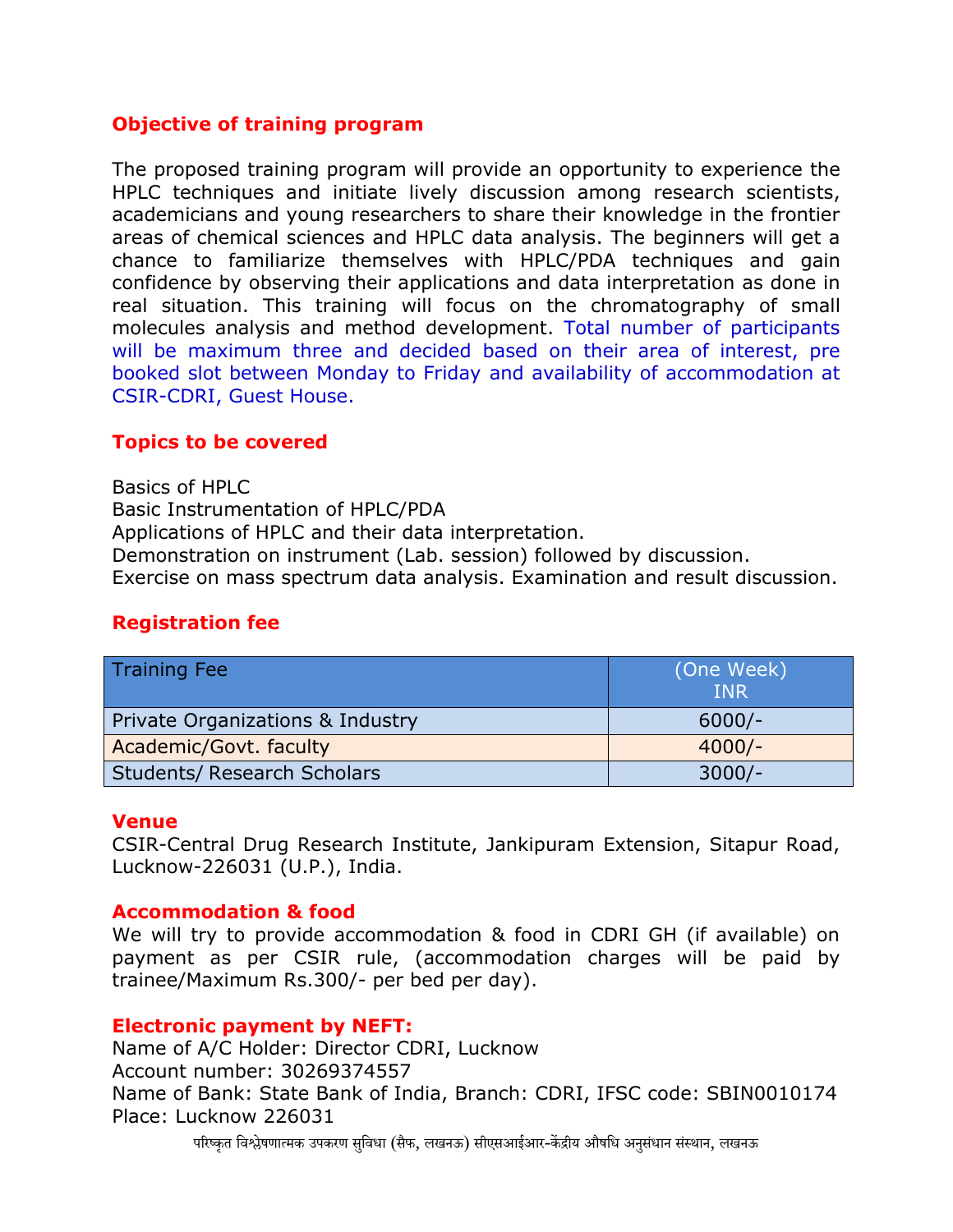# **Objective of training program**

The proposed training program will provide an opportunity to experience the HPLC techniques and initiate lively discussion among research scientists, academicians and young researchers to share their knowledge in the frontier areas of chemical sciences and HPLC data analysis. The beginners will get a chance to familiarize themselves with HPLC/PDA techniques and gain confidence by observing their applications and data interpretation as done in real situation. This training will focus on the chromatography of small molecules analysis and method development. Total number of participants will be maximum three and decided based on their area of interest, pre booked slot between Monday to Friday and availability of accommodation at CSIR-CDRI, Guest House.

# **Topics to be covered**

Basics of HPLC Basic Instrumentation of HPLC/PDA Applications of HPLC and their data interpretation. Demonstration on instrument (Lab. session) followed by discussion. Exercise on mass spectrum data analysis. Examination and result discussion.

# **Registration fee**

| <b>Training Fee</b>                | (One Week)<br><b>INR</b> |
|------------------------------------|--------------------------|
| Private Organizations & Industry   | $6000/-$                 |
| Academic/Govt. faculty             | $4000/-$                 |
| <b>Students/ Research Scholars</b> | $3000/-$                 |

#### **Venue**

CSIR-Central Drug Research Institute, Jankipuram Extension, Sitapur Road, Lucknow-226031 (U.P.), India.

# **Accommodation & food**

We will try to provide accommodation & food in CDRI GH (if available) on payment as per CSIR rule, (accommodation charges will be paid by trainee/Maximum Rs.300/- per bed per day).

#### **Electronic payment by NEFT:**

Name of A/C Holder: Director CDRI, Lucknow Account number: 30269374557 Name of Bank: State Bank of India, Branch: CDRI, IFSC code: SBIN0010174 Place: Lucknow 226031

परिष्कृत विश्लेषणात्मक उपकरण सविधा (सैफ, लखनऊ) सीएसआईआर-केंद्रीय औषधि अनसंधान संस्थान, लखनऊ